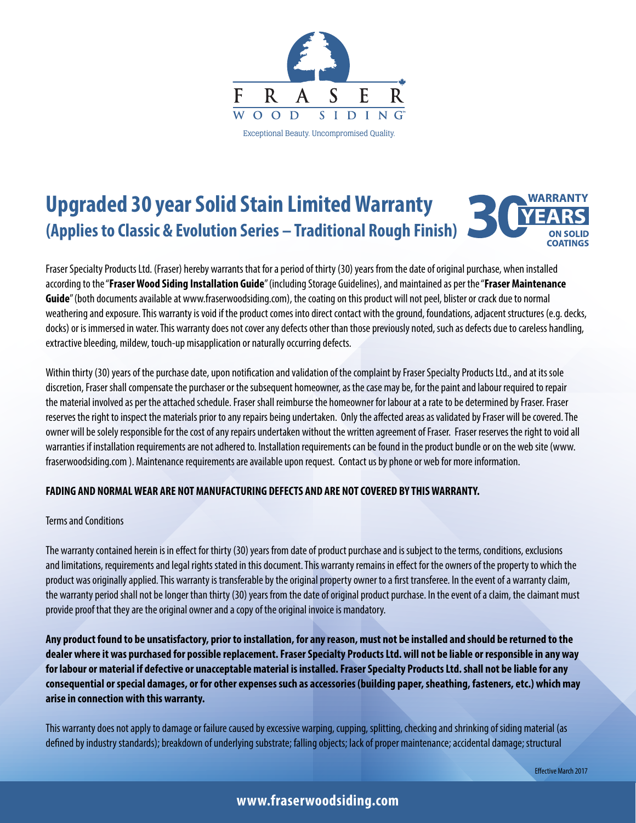

# **Upgraded 30 year Solid Stain Limited Warranty (Applies to Classic & Evolution Series – Traditional Rough Finish)**



Fraser Specialty Products Ltd. (Fraser) hereby warrants that for a period of thirty (30) years from the date of original purchase, when installed according to the "**Fraser Wood Siding Installation Guide**" (including Storage Guidelines), and maintained as per the "**Fraser Maintenance Guide**" (both documents available at www.fraserwoodsiding.com), the coating on this product will not peel, blister or crack due to normal weathering and exposure. This warranty is void if the product comes into direct contact with the ground, foundations, adjacent structures (e.g. decks, docks) or is immersed in water. This warranty does not cover any defects other than those previously noted, such as defects due to careless handling, extractive bleeding, mildew, touch-up misapplication or naturally occurring defects.

Within thirty (30) years of the purchase date, upon notification and validation of the complaint by Fraser Specialty Products Ltd., and at its sole discretion, Fraser shall compensate the purchaser or the subsequent homeowner, as the case may be, for the paint and labour required to repair the material involved as per the attached schedule. Fraser shall reimburse the homeowner for labour at a rate to be determined by Fraser. Fraser reserves the right to inspect the materials prior to any repairs being undertaken. Only the affected areas as validated by Fraser will be covered. The owner will be solely responsible for the cost of any repairs undertaken without the written agreement of Fraser. Fraser reserves the right to void all warranties if installation requirements are not adhered to. Installation requirements can be found in the product bundle or on the web site (www. fraserwoodsiding.com ). Maintenance requirements are available upon request. Contact us by phone or web for more information.

### **FADING AND NORMAL WEAR ARE NOT MANUFACTURING DEFECTS AND ARE NOT COVERED BY THIS WARRANTY.**

#### Terms and Conditions

The warranty contained herein is in effect for thirty (30) years from date of product purchase and is subject to the terms, conditions, exclusions and limitations, requirements and legal rights stated in this document. This warranty remains in effect for the owners of the property to which the product was originally applied. This warranty is transferable by the original property owner to a first transferee. In the event of a warranty claim, the warranty period shall not be longer than thirty (30) years from the date of original product purchase. In the event of a claim, the claimant must provide proof that they are the original owner and a copy of the original invoice is mandatory.

**Any product found to be unsatisfactory, prior to installation, for any reason, must not be installed and should be returned to the dealer where it was purchased for possible replacement. Fraser Specialty Products Ltd. will not be liable or responsible in any way for labour or material if defective or unacceptable material is installed. Fraser Specialty Products Ltd. shall not be liable for any consequential or special damages, or for other expenses such as accessories (building paper, sheathing, fasteners, etc.) which may arise in connection with this warranty.**

This warranty does not apply to damage or failure caused by excessive warping, cupping, splitting, checking and shrinking of siding material (as defined by industry standards); breakdown of underlying substrate; falling objects; lack of proper maintenance; accidental damage; structural

## **www.fraserwoodsiding.com**